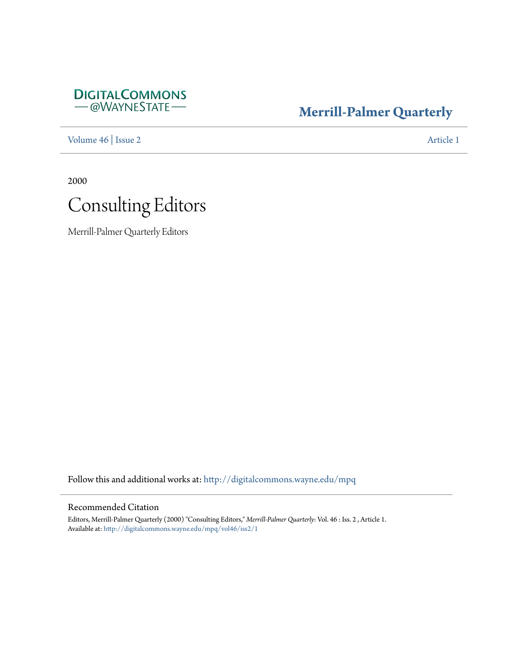## **DIGITALCOMMONS** -@WAYNESTATE-

## **[Merrill-Palmer Quarterly](http://digitalcommons.wayne.edu/mpq?utm_source=digitalcommons.wayne.edu%2Fmpq%2Fvol46%2Fiss2%2F1&utm_medium=PDF&utm_campaign=PDFCoverPages)**

[Volume 46](http://digitalcommons.wayne.edu/mpq/vol46?utm_source=digitalcommons.wayne.edu%2Fmpq%2Fvol46%2Fiss2%2F1&utm_medium=PDF&utm_campaign=PDFCoverPages) | [Issue 2](http://digitalcommons.wayne.edu/mpq/vol46/iss2?utm_source=digitalcommons.wayne.edu%2Fmpq%2Fvol46%2Fiss2%2F1&utm_medium=PDF&utm_campaign=PDFCoverPages) [Article 1](http://digitalcommons.wayne.edu/mpq/vol46/iss2/1?utm_source=digitalcommons.wayne.edu%2Fmpq%2Fvol46%2Fiss2%2F1&utm_medium=PDF&utm_campaign=PDFCoverPages)

2000



Merrill-Palmer Quarterly Editors

Follow this and additional works at: [http://digitalcommons.wayne.edu/mpq](http://digitalcommons.wayne.edu/mpq?utm_source=digitalcommons.wayne.edu%2Fmpq%2Fvol46%2Fiss2%2F1&utm_medium=PDF&utm_campaign=PDFCoverPages)

## Recommended Citation

Editors, Merrill-Palmer Quarterly (2000) "Consulting Editors," *Merrill-Palmer Quarterly*: Vol. 46 : Iss. 2 , Article 1. Available at: [http://digitalcommons.wayne.edu/mpq/vol46/iss2/1](http://digitalcommons.wayne.edu/mpq/vol46/iss2/1?utm_source=digitalcommons.wayne.edu%2Fmpq%2Fvol46%2Fiss2%2F1&utm_medium=PDF&utm_campaign=PDFCoverPages)